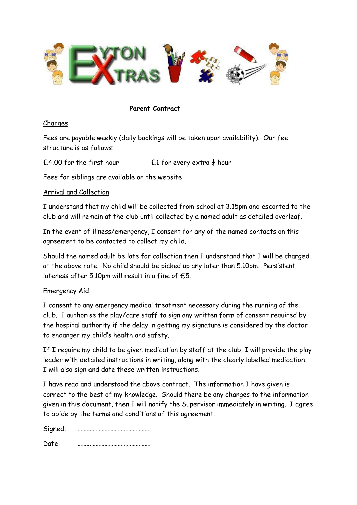

## **Parent Contract**

#### Charges

Fees are payable weekly (daily bookings will be taken upon availability). Our fee structure is as follows:

£4.00 for the first hour  $\frac{1}{2}$  for every extra  $\frac{1}{4}$  hour

Fees for siblings are available on the website

#### Arrival and Collection

I understand that my child will be collected from school at 3.15pm and escorted to the club and will remain at the club until collected by a named adult as detailed overleaf.

In the event of illness/emergency, I consent for any of the named contacts on this agreement to be contacted to collect my child.

Should the named adult be late for collection then I understand that I will be charged at the above rate. No child should be picked up any later than 5.10pm. Persistent lateness after 5.10pm will result in a fine of £5.

#### Emergency Aid

I consent to any emergency medical treatment necessary during the running of the club. I authorise the play/care staff to sign any written form of consent required by the hospital authority if the delay in getting my signature is considered by the doctor to endanger my child's health and safety.

If I require my child to be given medication by staff at the club, I will provide the play leader with detailed instructions in writing, along with the clearly labelled medication. I will also sign and date these written instructions.

I have read and understood the above contract. The information I have given is correct to the best of my knowledge. Should there be any changes to the information given in this document, then I will notify the Supervisor immediately in writing. I agree to abide by the terms and conditions of this agreement.

| Signed: |  |
|---------|--|
| Date:   |  |